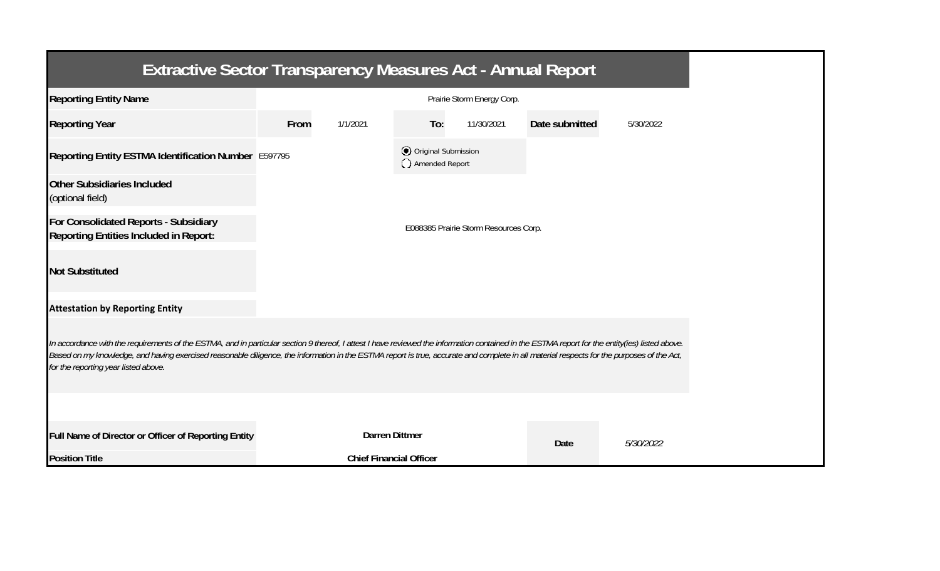| <b>Extractive Sector Transparency Measures Act - Annual Report</b>                                                                                                                                                                                                                                                                                                                                                                    |                            |                                       |                                       |            |                |           |  |  |  |  |
|---------------------------------------------------------------------------------------------------------------------------------------------------------------------------------------------------------------------------------------------------------------------------------------------------------------------------------------------------------------------------------------------------------------------------------------|----------------------------|---------------------------------------|---------------------------------------|------------|----------------|-----------|--|--|--|--|
| <b>Reporting Entity Name</b>                                                                                                                                                                                                                                                                                                                                                                                                          | Prairie Storm Energy Corp. |                                       |                                       |            |                |           |  |  |  |  |
| <b>Reporting Year</b>                                                                                                                                                                                                                                                                                                                                                                                                                 | From                       | 1/1/2021                              | To:                                   | 11/30/2021 | Date submitted | 5/30/2022 |  |  |  |  |
| Reporting Entity ESTMA Identification Number E597795                                                                                                                                                                                                                                                                                                                                                                                  |                            |                                       | Original Submission<br>Amended Report |            |                |           |  |  |  |  |
| <b>Other Subsidiaries Included</b><br>(optional field)                                                                                                                                                                                                                                                                                                                                                                                |                            |                                       |                                       |            |                |           |  |  |  |  |
| For Consolidated Reports - Subsidiary<br><b>Reporting Entities Included in Report:</b>                                                                                                                                                                                                                                                                                                                                                |                            | E088385 Prairie Storm Resources Corp. |                                       |            |                |           |  |  |  |  |
| <b>Not Substituted</b>                                                                                                                                                                                                                                                                                                                                                                                                                |                            |                                       |                                       |            |                |           |  |  |  |  |
| <b>Attestation by Reporting Entity</b>                                                                                                                                                                                                                                                                                                                                                                                                |                            |                                       |                                       |            |                |           |  |  |  |  |
| In accordance with the requirements of the ESTMA, and in particular section 9 thereof, I attest I have reviewed the information contained in the ESTMA report for the entity(ies) listed above.<br>Based on my knowledge, and having exercised reasonable diligence, the information in the ESTMA report is true, accurate and complete in all material respects for the purposes of the Act,<br>for the reporting year listed above. |                            |                                       |                                       |            |                |           |  |  |  |  |
|                                                                                                                                                                                                                                                                                                                                                                                                                                       |                            |                                       |                                       |            |                |           |  |  |  |  |
| Full Name of Director or Officer of Reporting Entity                                                                                                                                                                                                                                                                                                                                                                                  |                            | <b>Darren Dittmer</b>                 | <b>Date</b>                           |            |                | 5/30/2022 |  |  |  |  |
| <b>Position Title</b>                                                                                                                                                                                                                                                                                                                                                                                                                 |                            | <b>Chief Financial Officer</b>        |                                       |            |                |           |  |  |  |  |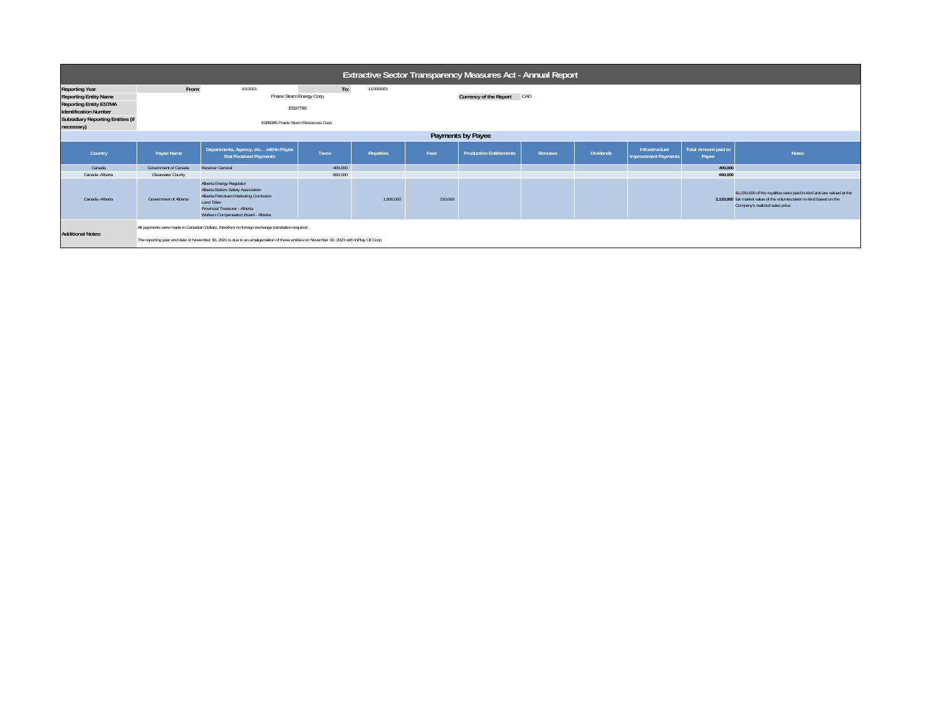| <b>Extractive Sector Transparency Measures Act - Annual Report</b> |                                                                                                                                                                                                                                            |                                                                                                                                                                                                         |              |            |         |                                |                |                  |                                               |                                      |                                                                                                                                                                                  |
|--------------------------------------------------------------------|--------------------------------------------------------------------------------------------------------------------------------------------------------------------------------------------------------------------------------------------|---------------------------------------------------------------------------------------------------------------------------------------------------------------------------------------------------------|--------------|------------|---------|--------------------------------|----------------|------------------|-----------------------------------------------|--------------------------------------|----------------------------------------------------------------------------------------------------------------------------------------------------------------------------------|
| <b>Reporting Year</b>                                              | From:                                                                                                                                                                                                                                      | 1/1/2021                                                                                                                                                                                                | To:          | 11/30/2021 |         |                                |                |                  |                                               |                                      |                                                                                                                                                                                  |
| <b>Reporting Entity Name</b>                                       |                                                                                                                                                                                                                                            | Prairie Storm Energy Corp.                                                                                                                                                                              |              |            |         | Currency of the Report CAD     |                |                  |                                               |                                      |                                                                                                                                                                                  |
| <b>Reporting Entity ESTMA</b><br><b>Identification Number</b>      | E597795                                                                                                                                                                                                                                    |                                                                                                                                                                                                         |              |            |         |                                |                |                  |                                               |                                      |                                                                                                                                                                                  |
| <b>Subsidiary Reporting Entities (if</b><br>necessary)             | E088385 Prairie Storm Resources Corp.                                                                                                                                                                                                      |                                                                                                                                                                                                         |              |            |         |                                |                |                  |                                               |                                      |                                                                                                                                                                                  |
| Payments by Payee                                                  |                                                                                                                                                                                                                                            |                                                                                                                                                                                                         |              |            |         |                                |                |                  |                                               |                                      |                                                                                                                                                                                  |
| Country                                                            | Payee Name                                                                                                                                                                                                                                 | Departments, Agency, etc within Payee<br>that Received Payments                                                                                                                                         | <b>Taxes</b> | Royalties  | Fees    | <b>Production Entitlements</b> | <b>Bonuses</b> | <b>Dividends</b> | Infrastructure<br><b>Improvement Payments</b> | <b>Total Amount paid to</b><br>Payee | <b>Notes</b>                                                                                                                                                                     |
| Canada                                                             | Government of Canada                                                                                                                                                                                                                       | Receiver General                                                                                                                                                                                        | 400,000      |            |         |                                |                |                  |                                               | 400.000                              |                                                                                                                                                                                  |
| Canada - Alberta                                                   | <b>Clearwater County</b>                                                                                                                                                                                                                   |                                                                                                                                                                                                         | 690,000      |            |         |                                |                |                  |                                               | 690,000                              |                                                                                                                                                                                  |
| Canada - Alberta                                                   | Government of Alberta                                                                                                                                                                                                                      | Alberta Energy Regulator<br>Alberta Boilers Safety Association<br>Alberta Petroluem Marketing Comission<br><b>Land Titles</b><br>Provincial Treasurer - Alberta<br>Workers Compensation Board - Alberta |              | 1,900,000  | 210,000 |                                |                |                  |                                               |                                      | \$1,030,000 of the royalties were paid in-kind and are valued at the<br>2,110,000 fair market value of the volumes taken in-kind based on the<br>Company's realized sales price. |
| <b>Additional Notes:</b>                                           | All payments were made in Canadian Dollars, therefore no foreign exchange translation required.<br>The reporting year end date of November 30, 2021 is due to an amalgamation of these entities on November 30, 2021 with InPlay Oil Corp. |                                                                                                                                                                                                         |              |            |         |                                |                |                  |                                               |                                      |                                                                                                                                                                                  |